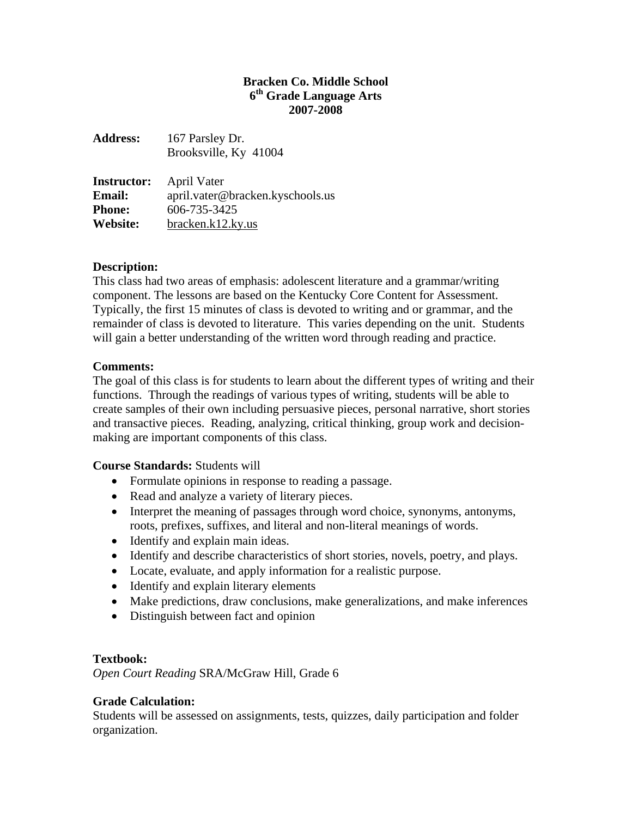## **Bracken Co. Middle School 6th Grade Language Arts 2007-2008**

| <b>Address:</b>    | 167 Parsley Dr.                  |
|--------------------|----------------------------------|
|                    | Brooksville, Ky 41004            |
| <b>Instructor:</b> | April Vater                      |
| <b>Email:</b>      | april.vater@bracken.kyschools.us |
| <b>Phone:</b>      | 606-735-3425                     |
| Website:           | bracken.k12.ky.us                |

## **Description:**

This class had two areas of emphasis: adolescent literature and a grammar/writing component. The lessons are based on the Kentucky Core Content for Assessment. Typically, the first 15 minutes of class is devoted to writing and or grammar, and the remainder of class is devoted to literature. This varies depending on the unit. Students will gain a better understanding of the written word through reading and practice.

### **Comments:**

The goal of this class is for students to learn about the different types of writing and their functions. Through the readings of various types of writing, students will be able to create samples of their own including persuasive pieces, personal narrative, short stories and transactive pieces. Reading, analyzing, critical thinking, group work and decisionmaking are important components of this class.

### **Course Standards:** Students will

- Formulate opinions in response to reading a passage.
- Read and analyze a variety of literary pieces.
- Interpret the meaning of passages through word choice, synonyms, antonyms, roots, prefixes, suffixes, and literal and non-literal meanings of words.
- Identify and explain main ideas.
- Identify and describe characteristics of short stories, novels, poetry, and plays.
- Locate, evaluate, and apply information for a realistic purpose.
- Identify and explain literary elements
- Make predictions, draw conclusions, make generalizations, and make inferences
- Distinguish between fact and opinion

# **Textbook:**

*Open Court Reading* SRA/McGraw Hill, Grade 6

# **Grade Calculation:**

Students will be assessed on assignments, tests, quizzes, daily participation and folder organization.